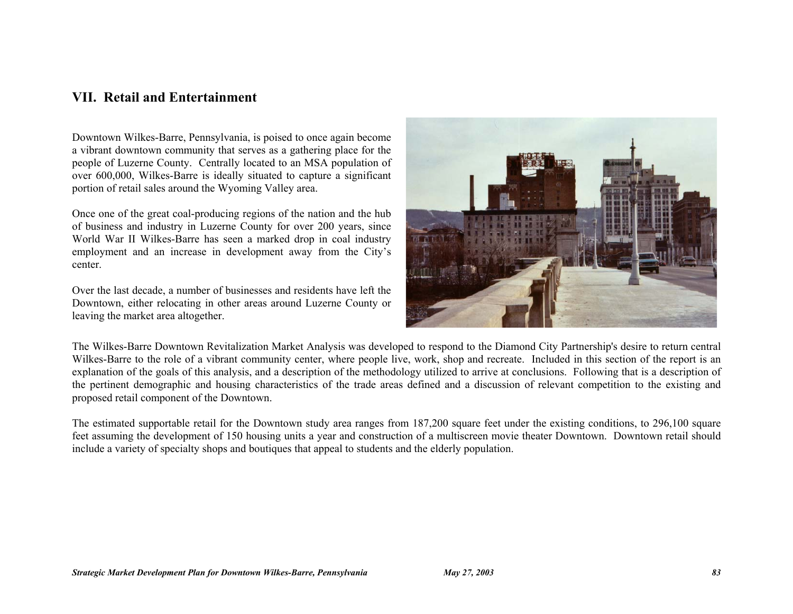### **VII. Retail and Entertainment**

Downtown Wilkes-Barre, Pennsylvania, is poised to once again become a vibrant downtown community that serves as a gathering place for the people of Luzerne County. Centrally located to an MSA population of over 600,000, Wilkes-Barre is ideally situated to capture a significant portion of retail sales around the Wyoming Valley area.

Once one of the great coal-producing regions of the nation and the hub of business and industry in Luzerne County for over 200 years, since World War II Wilkes-Barre has seen a marked drop in coal industry employment and an increase in development away from the City's center.

Over the last decade, a number of businesses and residents have left the Downtown, either relocating in other areas around Luzerne County or leaving the market area altogether.



The Wilkes-Barre Downtown Revitalization Market Analysis was developed to respond to the Diamond City Partnership's desire to return central Wilkes-Barre to the role of a vibrant community center, where people live, work, shop and recreate. Included in this section of the report is an explanation of the goals of this analysis, and a description of the methodology utilized to arrive at conclusions. Following that is a description of the pertinent demographic and housing characteristics of the trade areas defined and a discussion of relevant competition to the existing and proposed retail component of the Downtown.

The estimated supportable retail for the Downtown study area ranges from 187,200 square feet under the existing conditions, to 296,100 square feet assuming the development of 150 housing units a year and construction of a multiscreen movie theater Downtown. Downtown retail should include a variety of specialty shops and boutiques that appeal to students and the elderly population.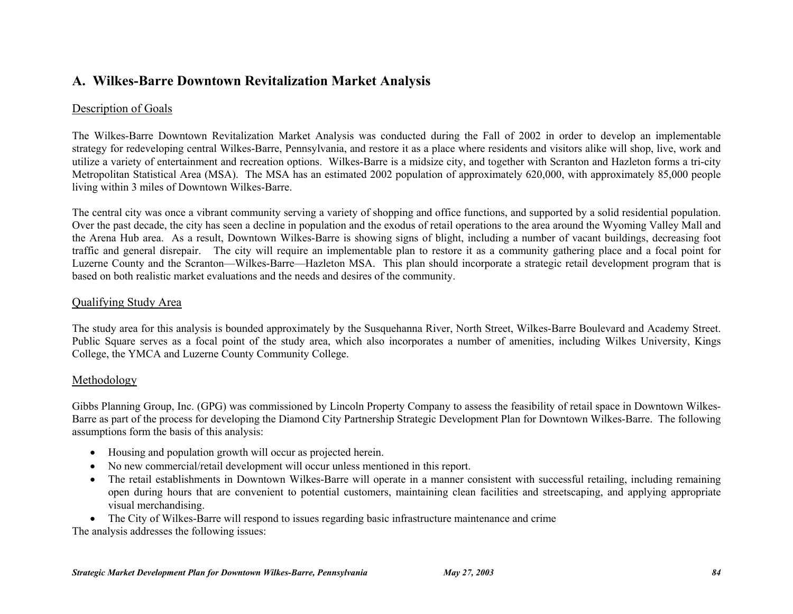# **A. Wilkes-Barre Downtown Revitalization Market Analysis**

### Description of Goals

The Wilkes-Barre Downtown Revitalization Market Analysis was conducted during the Fall of 2002 in order to develop an implementable strategy for redeveloping central Wilkes-Barre, Pennsylvania, and restore it as a place where residents and visitors alike will shop, live, work and utilize a variety of entertainment and recreation options. Wilkes-Barre is a midsize city, and together with Scranton and Hazleton forms a tri-city Metropolitan Statistical Area (MSA). The MSA has an estimated 2002 population of approximately 620,000, with approximately 85,000 people living within 3 miles of Downtown Wilkes-Barre.

The central city was once a vibrant community serving a variety of shopping and office functions, and supported by a solid residential population. Over the past decade, the city has seen a decline in population and the exodus of retail operations to the area around the Wyoming Valley Mall and the Arena Hub area. As a result, Downtown Wilkes-Barre is showing signs of blight, including a number of vacant buildings, decreasing foot traffic and general disrepair. The city will require an implementable plan to restore it as a community gathering place and a focal point for Luzerne County and the Scranton—Wilkes-Barre—Hazleton MSA. This plan should incorporate a strategic retail development program that is based on both realistic market evaluations and the needs and desires of the community.

### Qualifying Study Area

The study area for this analysis is bounded approximately by the Susquehanna River, North Street, Wilkes-Barre Boulevard and Academy Street. Public Square serves as a focal point of the study area, which also incorporates a number of amenities, including Wilkes University, Kings College, the YMCA and Luzerne County Community College.

#### Methodology

Gibbs Planning Group, Inc. (GPG) was commissioned by Lincoln Property Company to assess the feasibility of retail space in Downtown Wilkes-Barre as part of the process for developing the Diamond City Partnership Strategic Development Plan for Downtown Wilkes-Barre. The following assumptions form the basis of this analysis:

- Housing and population growth will occur as projected herein.
- No new commercial/retail development will occur unless mentioned in this report.
- The retail establishments in Downtown Wilkes-Barre will operate in a manner consistent with successful retailing, including remaining open during hours that are convenient to potential customers, maintaining clean facilities and streetscaping, and applying appropriate visual merchandising.
- The City of Wilkes-Barre will respond to issues regarding basic infrastructure maintenance and crime

The analysis addresses the following issues: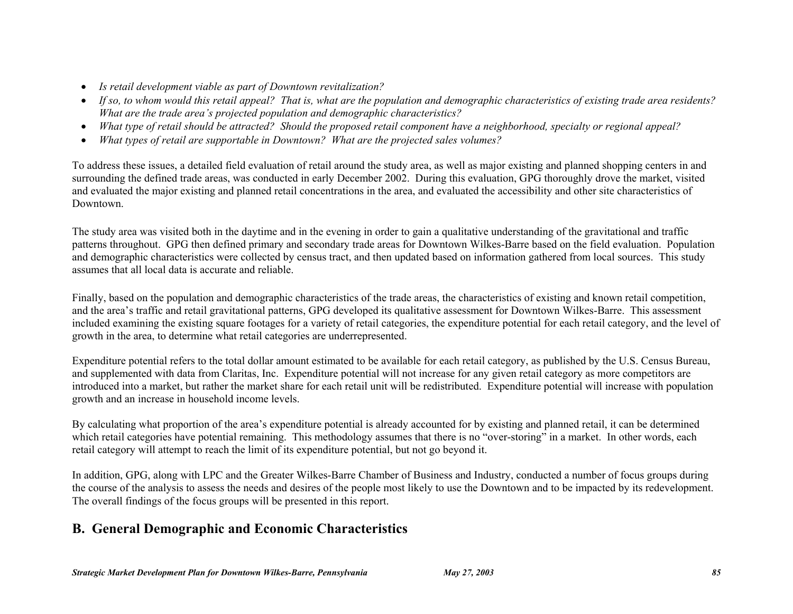- *Is retail development viable as part of Downtown revitalization?*
- *If so, to whom would this retail appeal? That is, what are the population and demographic characteristics of existing trade area residents? What are the trade area's projected population and demographic characteristics?*
- *What type of retail should be attracted? Should the proposed retail component have a neighborhood, specialty or regional appeal?*
- *What types of retail are supportable in Downtown? What are the projected sales volumes?*

To address these issues, a detailed field evaluation of retail around the study area, as well as major existing and planned shopping centers in and surrounding the defined trade areas, was conducted in early December 2002. During this evaluation, GPG thoroughly drove the market, visited and evaluated the major existing and planned retail concentrations in the area, and evaluated the accessibility and other site characteristics of Downtown.

The study area was visited both in the daytime and in the evening in order to gain a qualitative understanding of the gravitational and traffic patterns throughout. GPG then defined primary and secondary trade areas for Downtown Wilkes-Barre based on the field evaluation. Population and demographic characteristics were collected by census tract, and then updated based on information gathered from local sources. This study assumes that all local data is accurate and reliable.

Finally, based on the population and demographic characteristics of the trade areas, the characteristics of existing and known retail competition, and the area's traffic and retail gravitational patterns, GPG developed its qualitative assessment for Downtown Wilkes-Barre. This assessment included examining the existing square footages for a variety of retail categories, the expenditure potential for each retail category, and the level of growth in the area, to determine what retail categories are underrepresented.

Expenditure potential refers to the total dollar amount estimated to be available for each retail category, as published by the U.S. Census Bureau, and supplemented with data from Claritas, Inc. Expenditure potential will not increase for any given retail category as more competitors are introduced into a market, but rather the market share for each retail unit will be redistributed. Expenditure potential will increase with population growth and an increase in household income levels.

By calculating what proportion of the area's expenditure potential is already accounted for by existing and planned retail, it can be determined which retail categories have potential remaining. This methodology assumes that there is no "over-storing" in a market. In other words, each retail category will attempt to reach the limit of its expenditure potential, but not go beyond it.

In addition, GPG, along with LPC and the Greater Wilkes-Barre Chamber of Business and Industry, conducted a number of focus groups during the course of the analysis to assess the needs and desires of the people most likely to use the Downtown and to be impacted by its redevelopment. The overall findings of the focus groups will be presented in this report.

# **B. General Demographic and Economic Characteristics**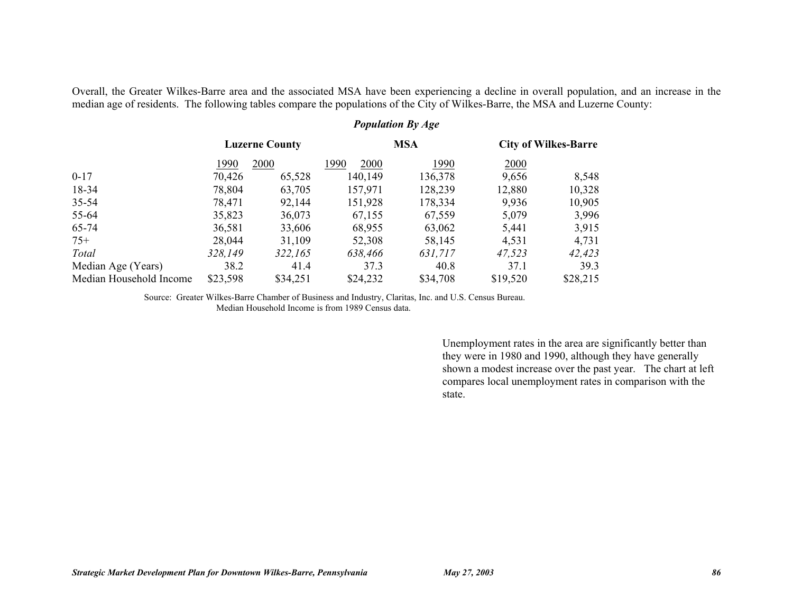Overall, the Greater Wilkes-Barre area and the associated MSA have been experiencing a decline in overall population, and an increase in the median age of residents. The following tables compare the populations of the City of Wilkes-Barre, the MSA and Luzerne County:

|                         | <b>Population By Age</b> |                       |              |            |                             |          |
|-------------------------|--------------------------|-----------------------|--------------|------------|-----------------------------|----------|
|                         |                          | <b>Luzerne County</b> |              | <b>MSA</b> | <b>City of Wilkes-Barre</b> |          |
|                         | 1990                     | 2000                  | 1990<br>2000 | 1990       | 2000                        |          |
| $0-17$                  | 70,426                   | 65,528                | 140,149      | 136,378    | 9,656                       | 8,548    |
| 18-34                   | 78,804                   | 63,705                | 157,971      | 128,239    | 12,880                      | 10,328   |
| $35 - 54$               | 78,471                   | 92,144                | 151,928      | 178,334    | 9,936                       | 10,905   |
| 55-64                   | 35,823                   | 36,073                | 67,155       | 67,559     | 5,079                       | 3,996    |
| 65-74                   | 36,581                   | 33,606                | 68,955       | 63,062     | 5,441                       | 3,915    |
| $75+$                   | 28,044                   | 31,109                | 52,308       | 58,145     | 4,531                       | 4,731    |
| Total                   | 328,149                  | 322,165               | 638,466      | 631,717    | 47,523                      | 42,423   |
| Median Age (Years)      | 38.2                     | 41.4                  | 37.3         | 40.8       | 37.1                        | 39.3     |
| Median Household Income | \$23,598                 | \$34,251              | \$24,232     | \$34,708   | \$19,520                    | \$28,215 |

Source: Greater Wilkes-Barre Chamber of Business and Industry, Claritas, Inc. and U.S. Census Bureau. Median Household Income is from 1989 Census data.

> Unemployment rates in the area are significantly better than they were in 1980 and 1990, although they have generally shown a modest increase over the past year. The chart at left compares local unemployment rates in comparison with the state.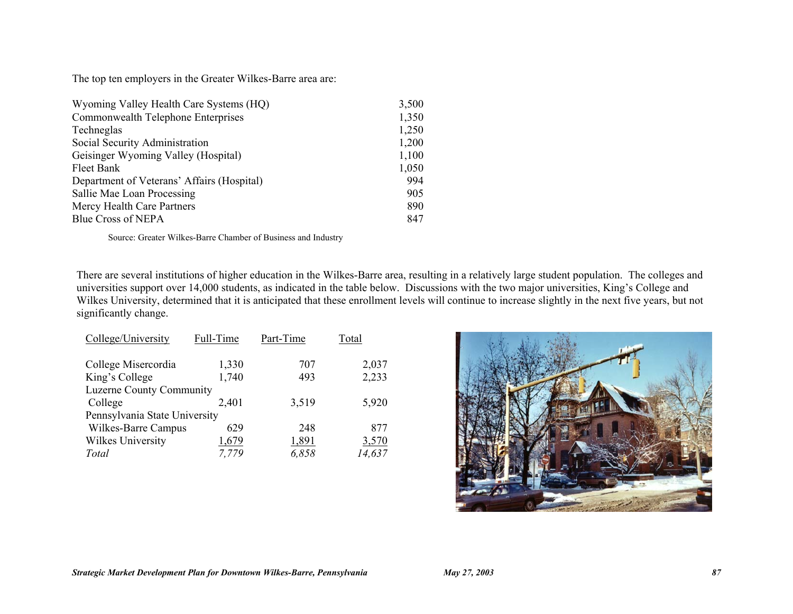The top ten employers in the Greater Wilkes-Barre area are:

| Wyoming Valley Health Care Systems (HQ)    | 3,500 |
|--------------------------------------------|-------|
| Commonwealth Telephone Enterprises         | 1,350 |
| Techneglas                                 | 1,250 |
| Social Security Administration             | 1,200 |
| Geisinger Wyoming Valley (Hospital)        | 1,100 |
| Fleet Bank                                 | 1,050 |
| Department of Veterans' Affairs (Hospital) | 994   |
| Sallie Mae Loan Processing                 | 905   |
| Mercy Health Care Partners                 | 890   |
| <b>Blue Cross of NEPA</b>                  | 847   |

Source: Greater Wilkes-Barre Chamber of Business and Industry

There are several institutions of higher education in the Wilkes-Barre area, resulting in a relatively large student population. The colleges and universities support over 14,000 students, as indicated in the table below. Discussions with the two major universities, King's College and Wilkes University, determined that it is anticipated that these enrollment levels will continue to increase slightly in the next five years, but not significantly change.

| College/University            | Full-Time | Part-Time | Total  |  |  |  |  |
|-------------------------------|-----------|-----------|--------|--|--|--|--|
| College Misercordia           | 1,330     | 707       | 2,037  |  |  |  |  |
| King's College                | 1,740     | 493       | 2,233  |  |  |  |  |
| Luzerne County Community      |           |           |        |  |  |  |  |
| College                       | 2,401     | 3,519     | 5,920  |  |  |  |  |
| Pennsylvania State University |           |           |        |  |  |  |  |
| Wilkes-Barre Campus           | 629       | 248       | 877    |  |  |  |  |
| Wilkes University             | 1,679     | 1,891     | 3,570  |  |  |  |  |
| Total                         | 7.779     | 6.858     | 14,637 |  |  |  |  |

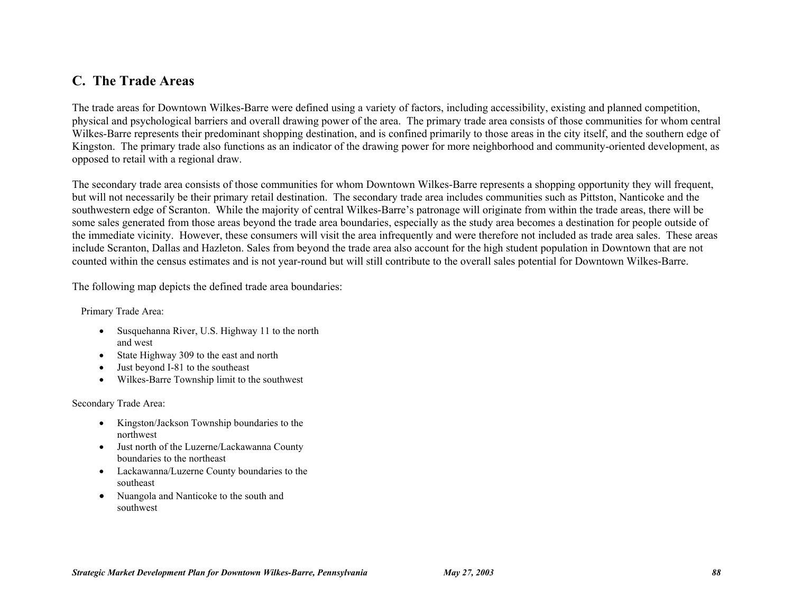### **C. The Trade Areas**

The trade areas for Downtown Wilkes-Barre were defined using a variety of factors, including accessibility, existing and planned competition, physical and psychological barriers and overall drawing power of the area. The primary trade area consists of those communities for whom central Wilkes-Barre represents their predominant shopping destination, and is confined primarily to those areas in the city itself, and the southern edge of Kingston. The primary trade also functions as an indicator of the drawing power for more neighborhood and community-oriented development, as opposed to retail with a regional draw.

The secondary trade area consists of those communities for whom Downtown Wilkes-Barre represents a shopping opportunity they will frequent, but will not necessarily be their primary retail destination. The secondary trade area includes communities such as Pittston, Nanticoke and the southwestern edge of Scranton. While the majority of central Wilkes-Barre's patronage will originate from within the trade areas, there will be some sales generated from those areas beyond the trade area boundaries, especially as the study area becomes a destination for people outside of the immediate vicinity. However, these consumers will visit the area infrequently and were therefore not included as trade area sales. These areas include Scranton, Dallas and Hazleton. Sales from beyond the trade area also account for the high student population in Downtown that are not counted within the census estimates and is not year-round but will still contribute to the overall sales potential for Downtown Wilkes-Barre.

The following map depicts the defined trade area boundaries:

Primary Trade Area:

- Susquehanna River, U.S. Highway 11 to the north and west
- State Highway 309 to the east and north
- Just beyond I-81 to the southeast
- Wilkes-Barre Township limit to the southwest

#### Secondary Trade Area:

- Kingston/Jackson Township boundaries to the northwest
- Just north of the Luzerne/Lackawanna County boundaries to the northeast
- Lackawanna/Luzerne County boundaries to the southeast
- Nuangola and Nanticoke to the south and southwest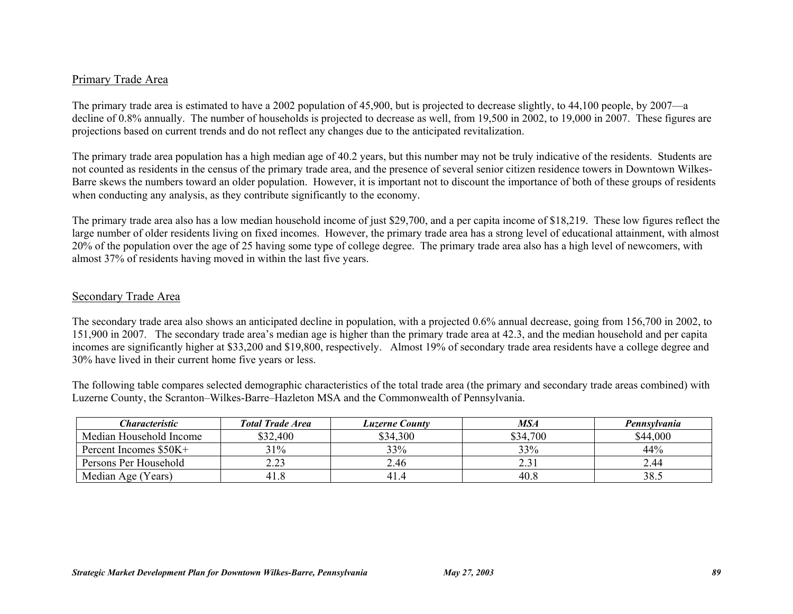#### Primary Trade Area

The primary trade area is estimated to have a 2002 population of 45,900, but is projected to decrease slightly, to 44,100 people, by 2007—a decline of 0.8% annually. The number of households is projected to decrease as well, from 19,500 in 2002, to 19,000 in 2007. These figures are projections based on current trends and do not reflect any changes due to the anticipated revitalization.

The primary trade area population has a high median age of 40.2 years, but this number may not be truly indicative of the residents. Students are not counted as residents in the census of the primary trade area, and the presence of several senior citizen residence towers in Downtown Wilkes-Barre skews the numbers toward an older population. However, it is important not to discount the importance of both of these groups of residents when conducting any analysis, as they contribute significantly to the economy.

The primary trade area also has a low median household income of just \$29,700, and a per capita income of \$18,219. These low figures reflect the large number of older residents living on fixed incomes. However, the primary trade area has a strong level of educational attainment, with almost 20% of the population over the age of 25 having some type of college degree. The primary trade area also has a high level of newcomers, with almost 37% of residents having moved in within the last five years.

#### Secondary Trade Area

The secondary trade area also shows an anticipated decline in population, with a projected 0.6% annual decrease, going from 156,700 in 2002, to 151,900 in 2007. The secondary trade area's median age is higher than the primary trade area at 42.3, and the median household and per capita incomes are significantly higher at \$33,200 and \$19,800, respectively. Almost 19% of secondary trade area residents have a college degree and 30% have lived in their current home five years or less.

The following table compares selected demographic characteristics of the total trade area (the primary and secondary trade areas combined) with Luzerne County, the Scranton–Wilkes-Barre–Hazleton MSA and the Commonwealth of Pennsylvania.

| Characteristic          | <b>Total Trade Area</b> | <b>Luzerne County</b> | MSA      | Pennsylvania |
|-------------------------|-------------------------|-----------------------|----------|--------------|
| Median Household Income | \$32,400                | \$34,300              | \$34,700 | \$44,000     |
| Percent Incomes \$50K+  | 31%                     | 33%                   | 33%      | 44%          |
| Persons Per Household   | ر ے ۔                   | 2.46                  | 2.J      | 2.44         |
| Median Age (Years)      | 41.8                    | 41.4                  | 40.8     | 38.5         |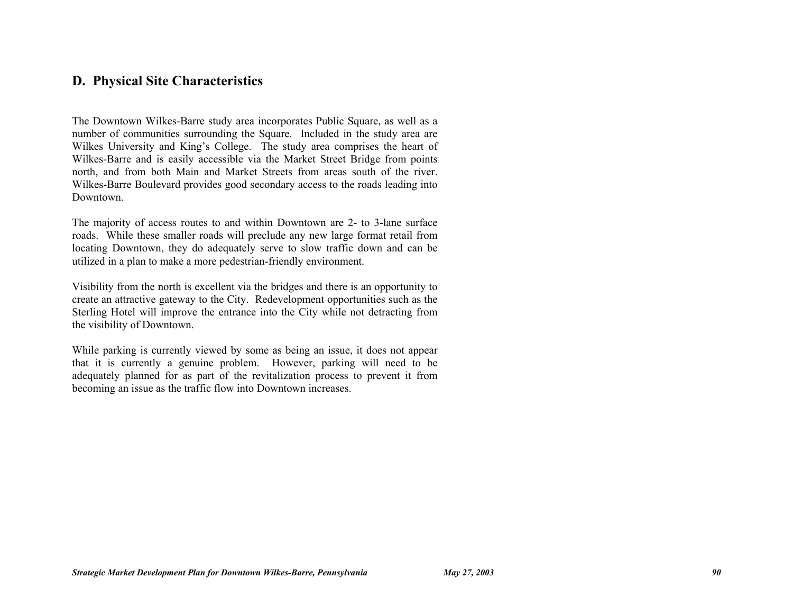### **D. Physical Site Characteristics**

The Downtown Wilkes-Barre study area incorporates Public Square, as well as a number of communities surrounding the Square. Included in the study area are Wilkes University and King's College. The study area comprises the heart of Wilkes-Barre and is easily accessible via the Market Street Bridge from points north, and from both Main and Market Streets from areas south of the river. Wilkes-Barre Boulevard provides good secondary access to the roads leading into Downtown.

The majority of access routes to and within Downtown are 2- to 3-lane surface roads. While these smaller roads will preclude any new large format retail from locating Downtown, they do adequately serve to slow traffic down and can be utilized in a plan to make a more pedestrian-friendly environment.

Visibility from the north is excellent via the bridges and there is an opportunity to create an attractive gateway to the City. Redevelopment opportunities such as the Sterling Hotel will improve the entrance into the City while not detracting from the visibility of Downtown.

While parking is currently viewed by some as being an issue, it does not appear that it is currently a genuine problem. However, parking will need to be adequately planned for as part of the revitalization process to prevent it from becoming an issue as the traffic flow into Downtown increases.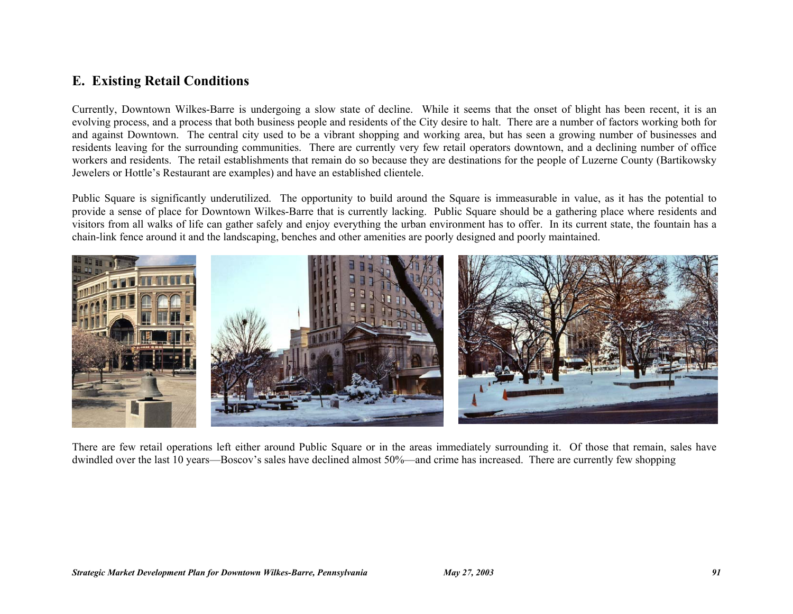### **E. Existing Retail Conditions**

Currently, Downtown Wilkes-Barre is undergoing a slow state of decline. While it seems that the onset of blight has been recent, it is an evolving process, and a process that both business people and residents of the City desire to halt. There are a number of factors working both for and against Downtown. The central city used to be a vibrant shopping and working area, but has seen a growing number of businesses and residents leaving for the surrounding communities. There are currently very few retail operators downtown, and a declining number of office workers and residents. The retail establishments that remain do so because they are destinations for the people of Luzerne County (Bartikowsky Jewelers or Hottle's Restaurant are examples) and have an established clientele.

Public Square is significantly underutilized. The opportunity to build around the Square is immeasurable in value, as it has the potential to provide a sense of place for Downtown Wilkes-Barre that is currently lacking. Public Square should be a gathering place where residents and visitors from all walks of life can gather safely and enjoy everything the urban environment has to offer. In its current state, the fountain has a chain-link fence around it and the landscaping, benches and other amenities are poorly designed and poorly maintained.



There are few retail operations left either around Public Square or in the areas immediately surrounding it. Of those that remain, sales have dwindled over the last 10 years—Boscov's sales have declined almost 50%—and crime has increased. There are currently few shopping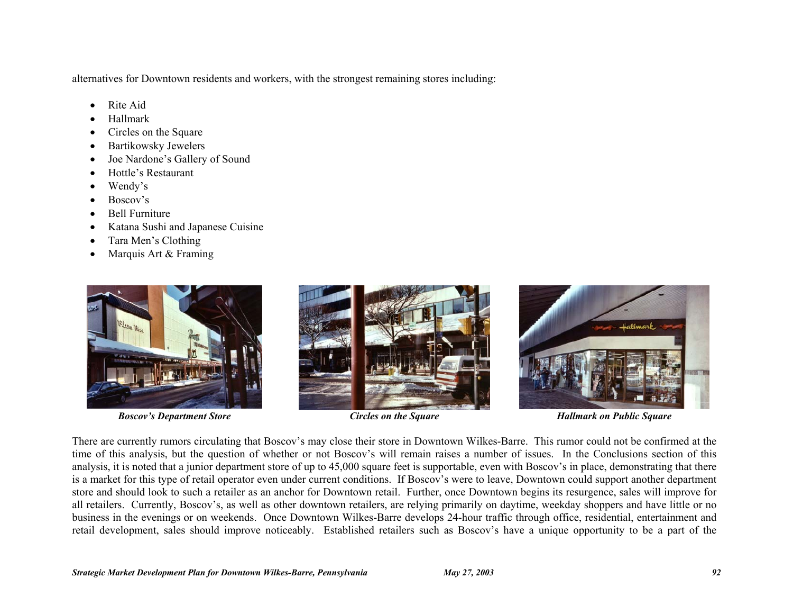alternatives for Downtown residents and workers, with the strongest remaining stores including:

- Rite Aid
- Hallmark
- Circles on the Square
- Bartikowsky Jewelers
- Joe Nardone's Gallery of Sound
- Hottle's Restaurant
- Wendy's
- Boscov's
- Bell Furniture
- Katana Sushi and Japanese Cuisine
- Tara Men's Clothing
- Marquis Art & Framing



**Boscov's Department Store State Circles on the Square Fact of Circles on the Square Fallmark on Public Square** 





There are currently rumors circulating that Boscov's may close their store in Downtown Wilkes-Barre. This rumor could not be confirmed at the time of this analysis, but the question of whether or not Boscov's will remain raises a number of issues. In the Conclusions section of this analysis, it is noted that a junior department store of up to 45,000 square feet is supportable, even with Boscov's in place, demonstrating that there is a market for this type of retail operator even under current conditions. If Boscov's were to leave, Downtown could support another department store and should look to such a retailer as an anchor for Downtown retail. Further, once Downtown begins its resurgence, sales will improve for all retailers. Currently, Boscov's, as well as other downtown retailers, are relying primarily on daytime, weekday shoppers and have little or no business in the evenings or on weekends. Once Downtown Wilkes-Barre develops 24-hour traffic through office, residential, entertainment and retail development, sales should improve noticeably. Established retailers such as Boscov's have a unique opportunity to be a part of the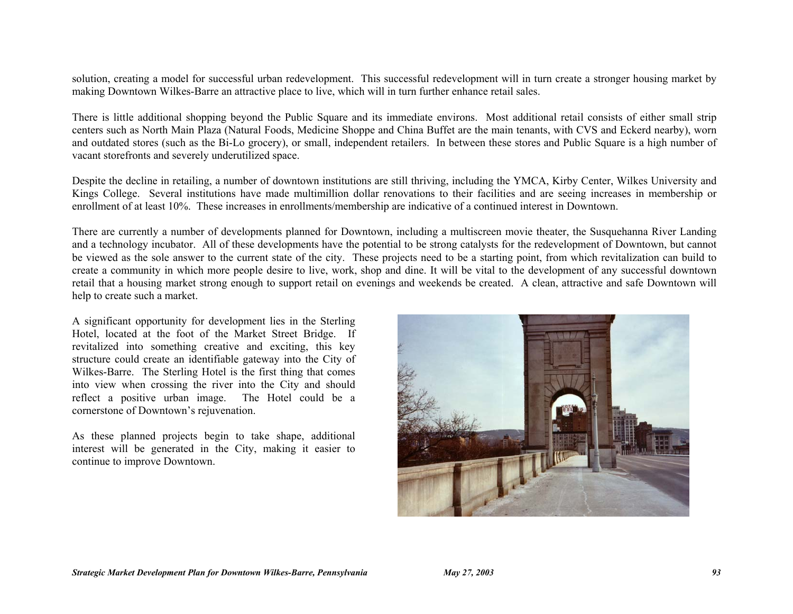solution, creating a model for successful urban redevelopment. This successful redevelopment will in turn create a stronger housing market by making Downtown Wilkes-Barre an attractive place to live, which will in turn further enhance retail sales.

There is little additional shopping beyond the Public Square and its immediate environs. Most additional retail consists of either small strip centers such as North Main Plaza (Natural Foods, Medicine Shoppe and China Buffet are the main tenants, with CVS and Eckerd nearby), worn and outdated stores (such as the Bi-Lo grocery), or small, independent retailers. In between these stores and Public Square is a high number of vacant storefronts and severely underutilized space.

Despite the decline in retailing, a number of downtown institutions are still thriving, including the YMCA, Kirby Center, Wilkes University and Kings College. Several institutions have made multimillion dollar renovations to their facilities and are seeing increases in membership or enrollment of at least 10%. These increases in enrollments/membership are indicative of a continued interest in Downtown.

There are currently a number of developments planned for Downtown, including a multiscreen movie theater, the Susquehanna River Landing and a technology incubator. All of these developments have the potential to be strong catalysts for the redevelopment of Downtown, but cannot be viewed as the sole answer to the current state of the city. These projects need to be a starting point, from which revitalization can build to create a community in which more people desire to live, work, shop and dine. It will be vital to the development of any successful downtown retail that a housing market strong enough to support retail on evenings and weekends be created. A clean, attractive and safe Downtown will help to create such a market.

A significant opportunity for development lies in the Sterling Hotel, located at the foot of the Market Street Bridge. If revitalized into something creative and exciting, this key structure could create an identifiable gateway into the City of Wilkes-Barre. The Sterling Hotel is the first thing that comes into view when crossing the river into the City and should reflect a positive urban image. The Hotel could be a cornerstone of Downtown's rejuvenation.

As these planned projects begin to take shape, additional interest will be generated in the City, making it easier to continue to improve Downtown.

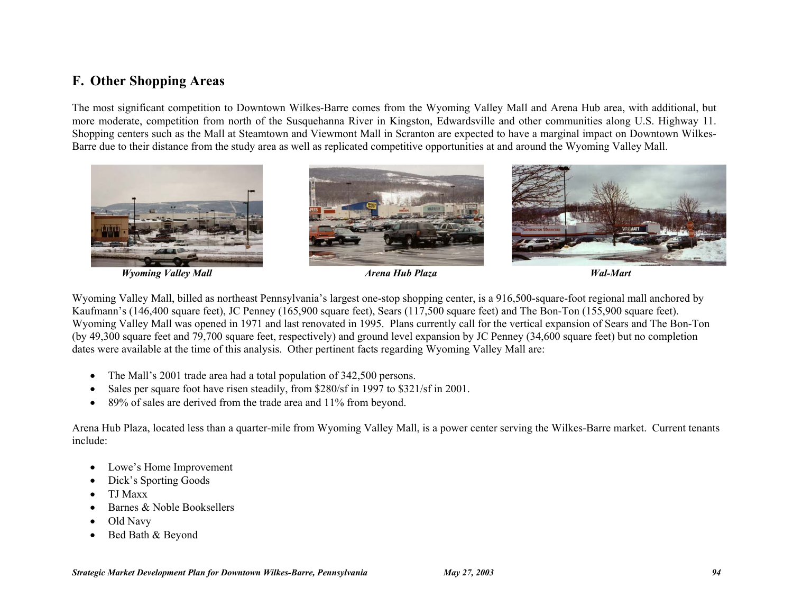### **F. Other Shopping Areas**

The most significant competition to Downtown Wilkes-Barre comes from the Wyoming Valley Mall and Arena Hub area, with additional, but more moderate, competition from north of the Susquehanna River in Kingston, Edwardsville and other communities along U.S. Highway 11. Shopping centers such as the Mall at Steamtown and Viewmont Mall in Scranton are expected to have a marginal impact on Downtown Wilkes-Barre due to their distance from the study area as well as replicated competitive opportunities at and around the Wyoming Valley Mall.



 *Wyoming Valley Mall Arena Hub Plaza Wal-Mart* 

Wyoming Valley Mall, billed as northeast Pennsylvania's largest one-stop shopping center, is a 916,500-square-foot regional mall anchored by Kaufmann's (146,400 square feet), JC Penney (165,900 square feet), Sears (117,500 square feet) and The Bon-Ton (155,900 square feet). Wyoming Valley Mall was opened in 1971 and last renovated in 1995. Plans currently call for the vertical expansion of Sears and The Bon-Ton (by 49,300 square feet and 79,700 square feet, respectively) and ground level expansion by JC Penney (34,600 square feet) but no completion dates were available at the time of this analysis. Other pertinent facts regarding Wyoming Valley Mall are:

- The Mall's 2001 trade area had a total population of 342,500 persons.
- Sales per square foot have risen steadily, from \$280/sf in 1997 to \$321/sf in 2001.
- 89% of sales are derived from the trade area and 11% from beyond.

Arena Hub Plaza, located less than a quarter-mile from Wyoming Valley Mall, is a power center serving the Wilkes-Barre market. Current tenants include:

- Lowe's Home Improvement
- Dick's Sporting Goods
- TJ Maxx
- Barnes & Noble Booksellers
- Old Navy
- Bed Bath & Beyond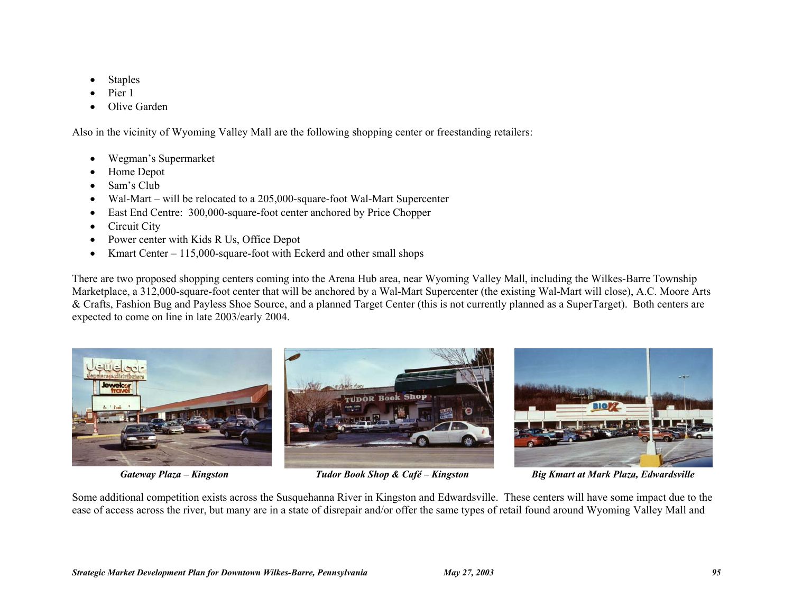- **Staples**
- Pier 1
- Olive Garden

Also in the vicinity of Wyoming Valley Mall are the following shopping center or freestanding retailers:

- Wegman's Supermarket
- Home Depot
- Sam's Club
- Wal-Mart will be relocated to a 205,000-square-foot Wal-Mart Supercenter
- East End Centre: 300,000-square-foot center anchored by Price Chopper
- Circuit City
- Power center with Kids R Us, Office Depot
- Kmart Center 115,000-square-foot with Eckerd and other small shops

There are two proposed shopping centers coming into the Arena Hub area, near Wyoming Valley Mall, including the Wilkes-Barre Township Marketplace, a 312,000-square-foot center that will be anchored by a Wal-Mart Supercenter (the existing Wal-Mart will close), A.C. Moore Arts & Crafts, Fashion Bug and Payless Shoe Source, and a planned Target Center (this is not currently planned as a SuperTarget). Both centers are expected to come on line in late 2003/early 2004.



 *Gateway Plaza – Kingston Tudor Book Shop & Café – Kingston Big Kmart at Mark Plaza, Edwardsville* 

Some additional competition exists across the Susquehanna River in Kingston and Edwardsville. These centers will have some impact due to the ease of access across the river, but many are in a state of disrepair and/or offer the same types of retail found around Wyoming Valley Mall and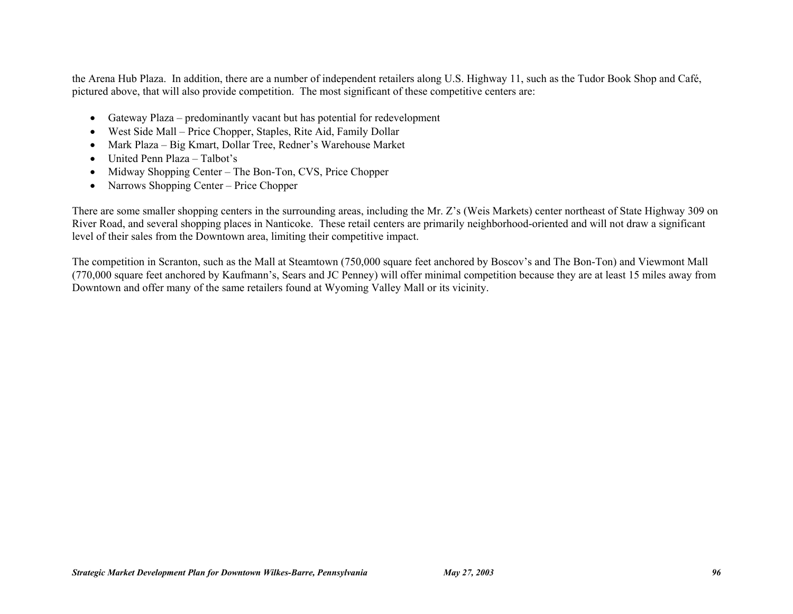the Arena Hub Plaza. In addition, there are a number of independent retailers along U.S. Highway 11, such as the Tudor Book Shop and Café, pictured above, that will also provide competition. The most significant of these competitive centers are:

- Gateway Plaza predominantly vacant but has potential for redevelopment
- West Side Mall Price Chopper, Staples, Rite Aid, Family Dollar
- Mark Plaza Big Kmart, Dollar Tree, Redner's Warehouse Market
- United Penn Plaza Talbot's
- Midway Shopping Center The Bon-Ton, CVS, Price Chopper
- Narrows Shopping Center Price Chopper

There are some smaller shopping centers in the surrounding areas, including the Mr. Z's (Weis Markets) center northeast of State Highway 309 on River Road, and several shopping places in Nanticoke. These retail centers are primarily neighborhood-oriented and will not draw a significant level of their sales from the Downtown area, limiting their competitive impact.

The competition in Scranton, such as the Mall at Steamtown (750,000 square feet anchored by Boscov's and The Bon-Ton) and Viewmont Mall (770,000 square feet anchored by Kaufmann's, Sears and JC Penney) will offer minimal competition because they are at least 15 miles away from Downtown and offer many of the same retailers found at Wyoming Valley Mall or its vicinity.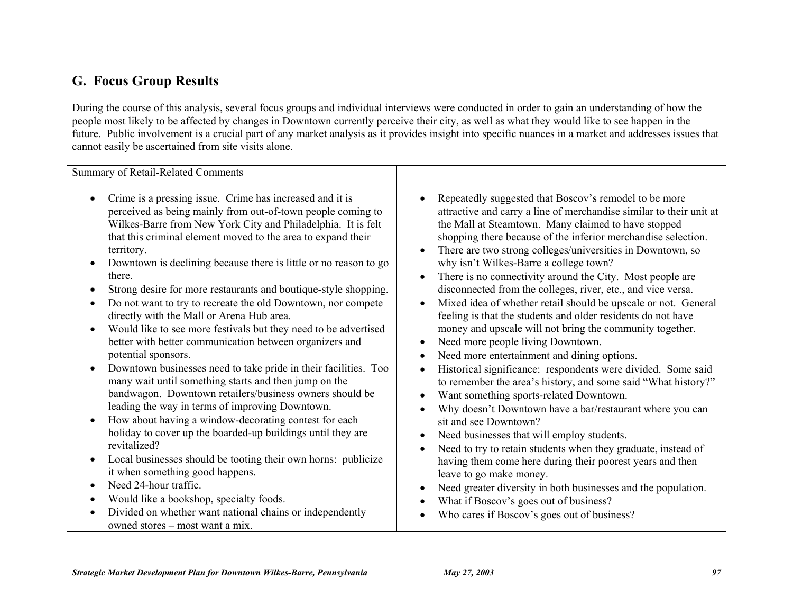# **G. Focus Group Results**

During the course of this analysis, several focus groups and individual interviews were conducted in order to gain an understanding of how the people most likely to be affected by changes in Downtown currently perceive their city, as well as what they would like to see happen in the future. Public involvement is a crucial part of any market analysis as it provides insight into specific nuances in a market and addresses issues that cannot easily be ascertained from site visits alone.

Summary of Retail-Related Comments • Crime is a pressing issue. Crime has increased and it is perceived as being mainly from out-of-town people coming to Wilkes-Barre from New York City and Philadelphia. It is felt that this criminal element moved to the area to expand their territory. • Downtown is declining because there is little or no reason to go there. • Strong desire for more restaurants and boutique-style shopping. • Do not want to try to recreate the old Downtown, nor compete directly with the Mall or Arena Hub area. • Would like to see more festivals but they need to be advertised better with better communication between organizers and potential sponsors. • Downtown businesses need to take pride in their facilities. Too many wait until something starts and then jump on the bandwagon. Downtown retailers/business owners should be leading the way in terms of improving Downtown. • How about having a window-decorating contest for each holiday to cover up the boarded-up buildings until they are revitalized? • Local businesses should be tooting their own horns: publicize it when something good happens. • Need 24-hour traffic. • Would like a bookshop, specialty foods. • Divided on whether want national chains or independently owned stores – most want a mix. Repeatedly suggested that Boscov's remodel to be more attractive and carry a line of merchandise similar to their unit at the Mall at Steamtown. Many claimed to have stopped shopping there because of the inferior merchandise selection. • There are two strong colleges/universities in Downtown, so why isn't Wilkes-Barre a college town? • There is no connectivity around the City. Most people are disconnected from the colleges, river, etc., and vice versa. • Mixed idea of whether retail should be upscale or not. General feeling is that the students and older residents do not have money and upscale will not bring the community together. • Need more people living Downtown. Need more entertainment and dining options. • Historical significance: respondents were divided. Some said to remember the area's history, and some said "What history?" • Want something sports-related Downtown. • Why doesn't Downtown have a bar/restaurant where you can sit and see Downtown? Need businesses that will employ students. • Need to try to retain students when they graduate, instead of having them come here during their poorest years and then leave to go make money. • Need greater diversity in both businesses and the population. • What if Boscov's goes out of business? • Who cares if Boscov's goes out of business?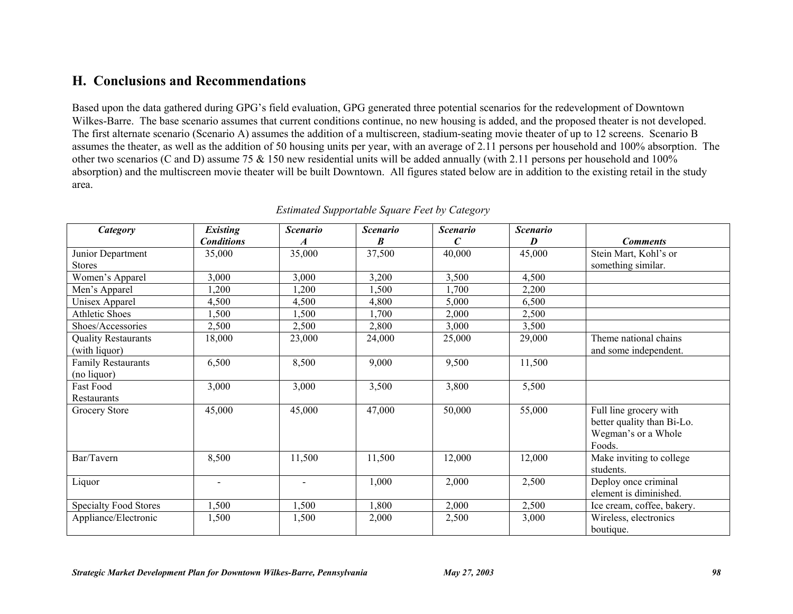### **H. Conclusions and Recommendations**

Based upon the data gathered during GPG's field evaluation, GPG generated three potential scenarios for the redevelopment of Downtown Wilkes-Barre. The base scenario assumes that current conditions continue, no new housing is added, and the proposed theater is not developed. The first alternate scenario (Scenario A) assumes the addition of a multiscreen, stadium-seating movie theater of up to 12 screens. Scenario B assumes the theater, as well as the addition of 50 housing units per year, with an average of 2.11 persons per household and 100% absorption. The other two scenarios (C and D) assume 75 & 150 new residential units will be added annually (with 2.11 persons per household and 100% absorption) and the multiscreen movie theater will be built Downtown. All figures stated below are in addition to the existing retail in the study area.

| Category                     | <b>Existing</b>          | <b>Scenario</b>  | <b>Scenario</b> | <b>Scenario</b> | <b>Scenario</b> |                            |
|------------------------------|--------------------------|------------------|-----------------|-----------------|-----------------|----------------------------|
|                              | <b>Conditions</b>        | $\boldsymbol{A}$ | B               | C               | D               | <b>Comments</b>            |
| Junior Department            | 35,000                   | 35,000           | 37,500          | 40,000          | 45,000          | Stein Mart, Kohl's or      |
| <b>Stores</b>                |                          |                  |                 |                 |                 | something similar.         |
| Women's Apparel              | 3,000                    | 3,000            | 3,200           | 3,500           | 4,500           |                            |
| Men's Apparel                | ,200                     | 1,200            | ,500            | .700            | 2,200           |                            |
| Unisex Apparel               | 4,500                    | 4,500            | 4,800           | 5,000           | 6,500           |                            |
| <b>Athletic Shoes</b>        | 1,500                    | 1,500            | 1,700           | 2,000           | 2,500           |                            |
| Shoes/Accessories            | 2,500                    | 2,500            | 2,800           | 3,000           | 3,500           |                            |
| <b>Quality Restaurants</b>   | 18,000                   | 23,000           | 24,000          | 25,000          | 29,000          | Theme national chains      |
| (with liquor)                |                          |                  |                 |                 |                 | and some independent.      |
| <b>Family Restaurants</b>    | 6,500                    | 8,500            | 9,000           | 9,500           | 11,500          |                            |
| (no liquor)                  |                          |                  |                 |                 |                 |                            |
| Fast Food                    | 3,000                    | 3,000            | 3,500           | 3,800           | 5,500           |                            |
| <b>Restaurants</b>           |                          |                  |                 |                 |                 |                            |
| Grocery Store                | 45,000                   | 45,000           | 47,000          | 50,000          | 55,000          | Full line grocery with     |
|                              |                          |                  |                 |                 |                 | better quality than Bi-Lo. |
|                              |                          |                  |                 |                 |                 | Wegman's or a Whole        |
|                              |                          |                  |                 |                 |                 | Foods.                     |
| Bar/Tavern                   | 8,500                    | 11,500           | 11,500          | 12,000          | 12,000          | Make inviting to college   |
|                              |                          |                  |                 |                 |                 | students.                  |
| Liquor                       | $\overline{\phantom{0}}$ |                  | 1,000           | 2,000           | 2,500           | Deploy once criminal       |
|                              |                          |                  |                 |                 |                 | element is diminished.     |
| <b>Specialty Food Stores</b> | 1,500                    | 1,500            | ,800            | 2,000           | 2,500           | Ice cream, coffee, bakery. |
| Appliance/Electronic         | 1,500                    | 1,500            | 2,000           | 2,500           | 3,000           | Wireless, electronics      |
|                              |                          |                  |                 |                 |                 | boutique.                  |

#### *Estimated Supportable Square Feet by Category*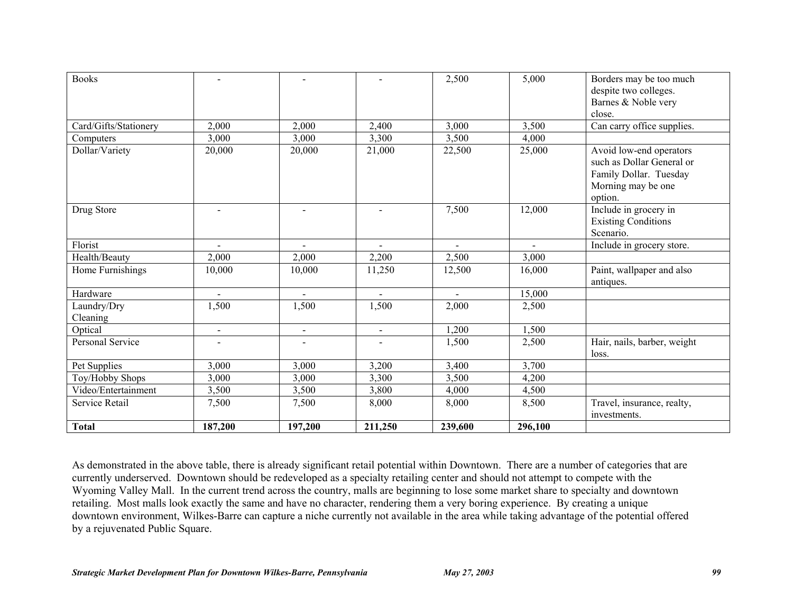| <b>Books</b>            |                          |                          |                | 2,500   | 5,000   | Borders may be too much<br>despite two colleges.<br>Barnes & Noble very<br>close.                               |
|-------------------------|--------------------------|--------------------------|----------------|---------|---------|-----------------------------------------------------------------------------------------------------------------|
| Card/Gifts/Stationery   | 2,000                    | 2,000                    | 2,400          | 3,000   | 3,500   | Can carry office supplies.                                                                                      |
| Computers               | 3,000                    | 3,000                    | 3,300          | 3,500   | 4,000   |                                                                                                                 |
| Dollar/Variety          | 20,000                   | 20,000                   | 21,000         | 22,500  | 25,000  | Avoid low-end operators<br>such as Dollar General or<br>Family Dollar. Tuesday<br>Morning may be one<br>option. |
| Drug Store              | $\overline{\phantom{a}}$ |                          |                | 7,500   | 12,000  | Include in grocery in<br><b>Existing Conditions</b><br>Scenario.                                                |
| Florist                 | $\overline{\phantom{a}}$ |                          |                |         |         | Include in grocery store.                                                                                       |
| Health/Beauty           | 2,000                    | 2,000                    | 2,200          | 2,500   | 3,000   |                                                                                                                 |
| Home Furnishings        | 10,000                   | 10,000                   | 11,250         | 12,500  | 16,000  | Paint, wallpaper and also<br>antiques.                                                                          |
| Hardware                | $\overline{\phantom{a}}$ |                          |                |         | 15,000  |                                                                                                                 |
| Laundry/Dry<br>Cleaning | 1,500                    | 1,500                    | 1,500          | 2,000   | 2,500   |                                                                                                                 |
| Optical                 | $\blacksquare$           | $\overline{\phantom{0}}$ | $\blacksquare$ | 1,200   | 1,500   |                                                                                                                 |
| Personal Service        | $\overline{\phantom{0}}$ |                          | $\blacksquare$ | 1,500   | 2,500   | Hair, nails, barber, weight<br>loss.                                                                            |
| Pet Supplies            | 3,000                    | 3,000                    | 3,200          | 3,400   | 3,700   |                                                                                                                 |
| Toy/Hobby Shops         | 3,000                    | 3,000                    | 3,300          | 3,500   | 4,200   |                                                                                                                 |
| Video/Entertainment     | 3,500                    | 3,500                    | 3,800          | 4,000   | 4,500   |                                                                                                                 |
| Service Retail          | 7,500                    | 7,500                    | 8,000          | 8,000   | 8,500   | Travel, insurance, realty,<br>investments.                                                                      |
| <b>Total</b>            | 187,200                  | 197,200                  | 211,250        | 239,600 | 296,100 |                                                                                                                 |

As demonstrated in the above table, there is already significant retail potential within Downtown. There are a number of categories that are currently underserved. Downtown should be redeveloped as a specialty retailing center and should not attempt to compete with the Wyoming Valley Mall. In the current trend across the country, malls are beginning to lose some market share to specialty and downtown retailing. Most malls look exactly the same and have no character, rendering them a very boring experience. By creating a unique downtown environment, Wilkes-Barre can capture a niche currently not available in the area while taking advantage of the potential offered by a rejuvenated Public Square.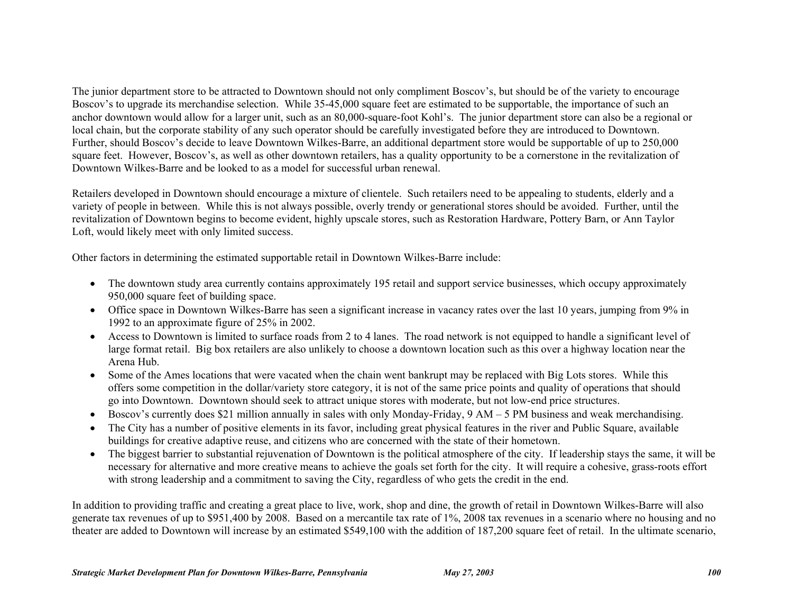The junior department store to be attracted to Downtown should not only compliment Boscov's, but should be of the variety to encourage Boscov's to upgrade its merchandise selection. While 35-45,000 square feet are estimated to be supportable, the importance of such an anchor downtown would allow for a larger unit, such as an 80,000-square-foot Kohl's. The junior department store can also be a regional or local chain, but the corporate stability of any such operator should be carefully investigated before they are introduced to Downtown. Further, should Boscov's decide to leave Downtown Wilkes-Barre, an additional department store would be supportable of up to 250,000 square feet. However, Boscov's, as well as other downtown retailers, has a quality opportunity to be a cornerstone in the revitalization of Downtown Wilkes-Barre and be looked to as a model for successful urban renewal.

Retailers developed in Downtown should encourage a mixture of clientele. Such retailers need to be appealing to students, elderly and a variety of people in between. While this is not always possible, overly trendy or generational stores should be avoided. Further, until the revitalization of Downtown begins to become evident, highly upscale stores, such as Restoration Hardware, Pottery Barn, or Ann Taylor Loft, would likely meet with only limited success.

Other factors in determining the estimated supportable retail in Downtown Wilkes-Barre include:

- The downtown study area currently contains approximately 195 retail and support service businesses, which occupy approximately 950,000 square feet of building space.
- Office space in Downtown Wilkes-Barre has seen a significant increase in vacancy rates over the last 10 years, jumping from 9% in 1992 to an approximate figure of 25% in 2002.
- Access to Downtown is limited to surface roads from 2 to 4 lanes. The road network is not equipped to handle a significant level of large format retail. Big box retailers are also unlikely to choose a downtown location such as this over a highway location near the Arena Hub.
- Some of the Ames locations that were vacated when the chain went bankrupt may be replaced with Big Lots stores. While this offers some competition in the dollar/variety store category, it is not of the same price points and quality of operations that should go into Downtown. Downtown should seek to attract unique stores with moderate, but not low-end price structures.
- Boscov's currently does \$21 million annually in sales with only Monday-Friday, 9 AM 5 PM business and weak merchandising.
- The City has a number of positive elements in its favor, including great physical features in the river and Public Square, available buildings for creative adaptive reuse, and citizens who are concerned with the state of their hometown.
- The biggest barrier to substantial rejuvenation of Downtown is the political atmosphere of the city. If leadership stays the same, it will be necessary for alternative and more creative means to achieve the goals set forth for the city. It will require a cohesive, grass-roots effort with strong leadership and a commitment to saving the City, regardless of who gets the credit in the end.

In addition to providing traffic and creating a great place to live, work, shop and dine, the growth of retail in Downtown Wilkes-Barre will also generate tax revenues of up to \$951,400 by 2008. Based on a mercantile tax rate of 1%, 2008 tax revenues in a scenario where no housing and no theater are added to Downtown will increase by an estimated \$549,100 with the addition of 187,200 square feet of retail. In the ultimate scenario,